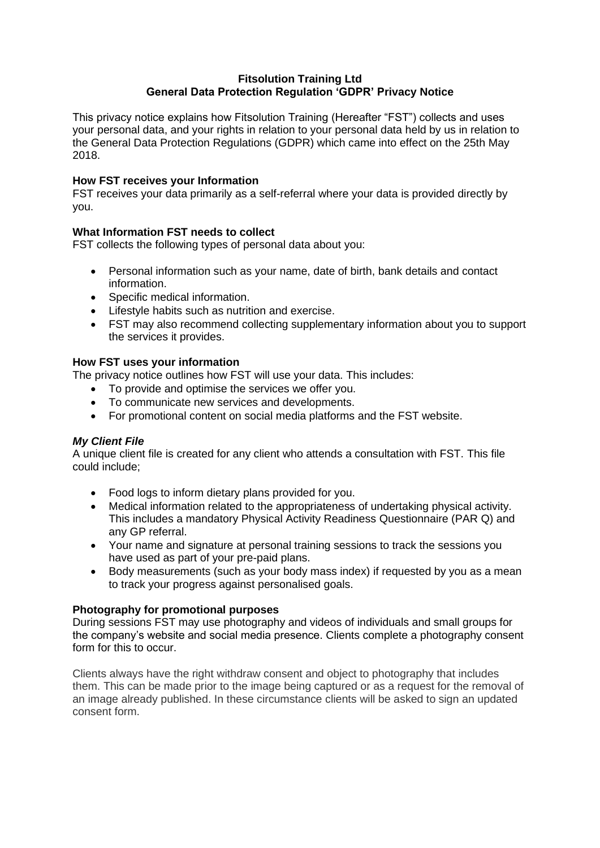## **Fitsolution Training Ltd General Data Protection Regulation 'GDPR' Privacy Notice**

This privacy notice explains how Fitsolution Training (Hereafter "FST") collects and uses your personal data, and your rights in relation to your personal data held by us in relation to the General Data Protection Regulations (GDPR) which came into effect on the 25th May 2018.

### **How FST receives your Information**

FST receives your data primarily as a self-referral where your data is provided directly by you.

# **What Information FST needs to collect**

FST collects the following types of personal data about you:

- Personal information such as your name, date of birth, bank details and contact information.
- Specific medical information.
- Lifestyle habits such as nutrition and exercise.
- FST may also recommend collecting supplementary information about you to support the services it provides.

# **How FST uses your information**

The privacy notice outlines how FST will use your data. This includes:

- To provide and optimise the services we offer you.
- To communicate new services and developments.
- For promotional content on social media platforms and the FST website.

# *My Client File*

A unique client file is created for any client who attends a consultation with FST. This file could include;

- Food logs to inform dietary plans provided for you.
- Medical information related to the appropriateness of undertaking physical activity. This includes a mandatory Physical Activity Readiness Questionnaire (PAR Q) and any GP referral.
- Your name and signature at personal training sessions to track the sessions you have used as part of your pre-paid plans.
- Body measurements (such as your body mass index) if requested by you as a mean to track your progress against personalised goals.

# **Photography for promotional purposes**

During sessions FST may use photography and videos of individuals and small groups for the company's website and social media presence. Clients complete a photography consent form for this to occur.

Clients always have the right withdraw consent and object to photography that includes them. This can be made prior to the image being captured or as a request for the removal of an image already published. In these circumstance clients will be asked to sign an updated consent form.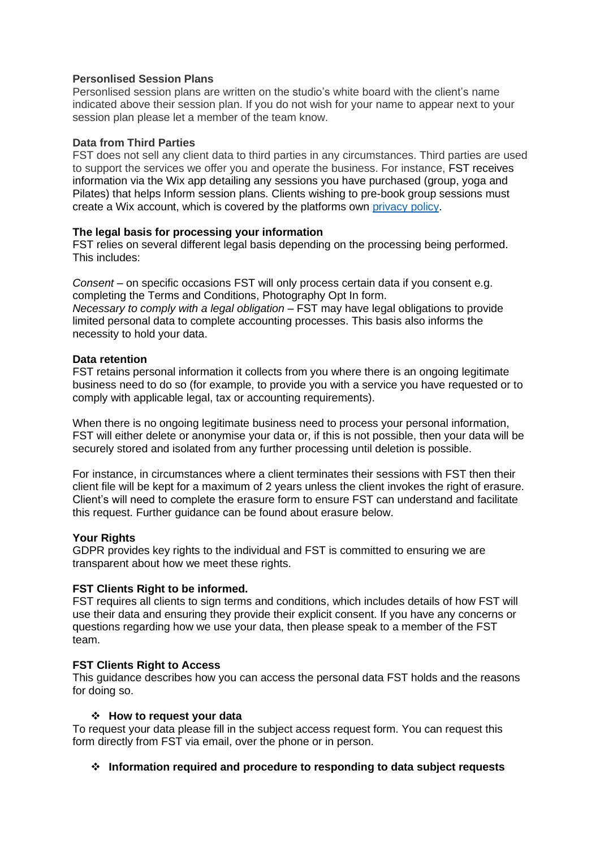#### **Personlised Session Plans**

Personlised session plans are written on the studio's white board with the client's name indicated above their session plan. If you do not wish for your name to appear next to your session plan please let a member of the team know.

#### **Data from Third Parties**

FST does not sell any client data to third parties in any circumstances. Third parties are used to support the services we offer you and operate the business. For instance, FST receives information via the Wix app detailing any sessions you have purchased (group, yoga and Pilates) that helps Inform session plans. Clients wishing to pre-book group sessions must create a Wix account, which is covered by the platforms own [privacy policy.](https://www.wix.com/about/privacy)

#### **The legal basis for processing your information**

FST relies on several different legal basis depending on the processing being performed. This includes:

*Consent* – on specific occasions FST will only process certain data if you consent e.g. completing the Terms and Conditions, Photography Opt In form. *Necessary to comply with a legal obligation* – FST may have legal obligations to provide limited personal data to complete accounting processes. This basis also informs the necessity to hold your data.

#### **Data retention**

FST retains personal information it collects from you where there is an ongoing legitimate business need to do so (for example, to provide you with a service you have requested or to comply with applicable legal, tax or accounting requirements).

When there is no ongoing legitimate business need to process your personal information, FST will either delete or anonymise your data or, if this is not possible, then your data will be securely stored and isolated from any further processing until deletion is possible.

For instance, in circumstances where a client terminates their sessions with FST then their client file will be kept for a maximum of 2 years unless the client invokes the right of erasure. Client's will need to complete the erasure form to ensure FST can understand and facilitate this request. Further guidance can be found about erasure below.

### **Your Rights**

GDPR provides key rights to the individual and FST is committed to ensuring we are transparent about how we meet these rights.

### **FST Clients Right to be informed.**

FST requires all clients to sign terms and conditions, which includes details of how FST will use their data and ensuring they provide their explicit consent. If you have any concerns or questions regarding how we use your data, then please speak to a member of the FST team.

#### **FST Clients Right to Access**

This guidance describes how you can access the personal data FST holds and the reasons for doing so.

#### ❖ **How to request your data**

To request your data please fill in the subject access request form. You can request this form directly from FST via email, over the phone or in person.

#### ❖ **Information required and procedure to responding to data subject requests**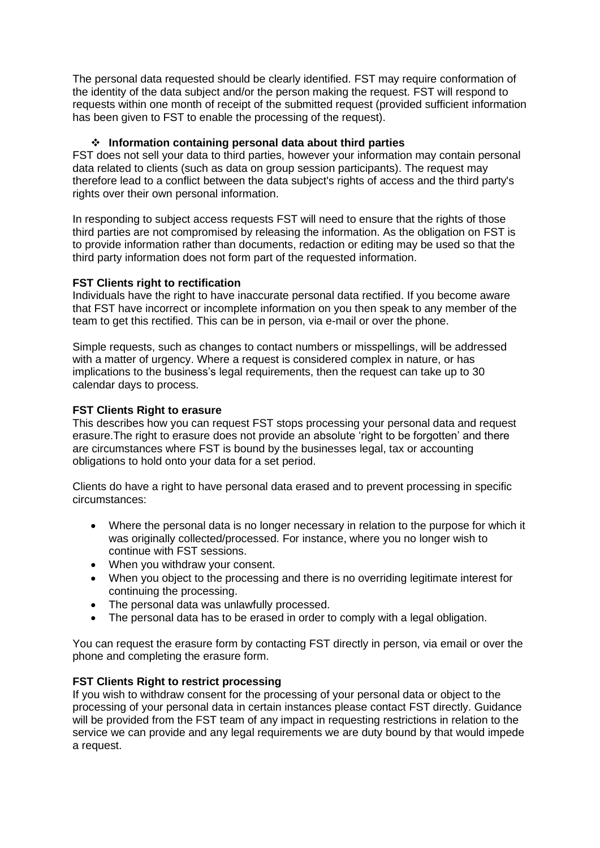The personal data requested should be clearly identified. FST may require conformation of the identity of the data subject and/or the person making the request. FST will respond to requests within one month of receipt of the submitted request (provided sufficient information has been given to FST to enable the processing of the request).

# ❖ **Information containing personal data about third parties**

FST does not sell your data to third parties, however your information may contain personal data related to clients (such as data on group session participants). The request may therefore lead to a conflict between the data subject's rights of access and the third party's rights over their own personal information.

In responding to subject access requests FST will need to ensure that the rights of those third parties are not compromised by releasing the information. As the obligation on FST is to provide information rather than documents, redaction or editing may be used so that the third party information does not form part of the requested information.

### **FST Clients right to rectification**

Individuals have the right to have inaccurate personal data rectified. If you become aware that FST have incorrect or incomplete information on you then speak to any member of the team to get this rectified. This can be in person, via e-mail or over the phone.

Simple requests, such as changes to contact numbers or misspellings, will be addressed with a matter of urgency. Where a request is considered complex in nature, or has implications to the business's legal requirements, then the request can take up to 30 calendar days to process.

### **FST Clients Right to erasure**

This describes how you can request FST stops processing your personal data and request erasure.The right to erasure does not provide an absolute 'right to be forgotten' and there are circumstances where FST is bound by the businesses legal, tax or accounting obligations to hold onto your data for a set period.

Clients do have a right to have personal data erased and to prevent processing in specific circumstances:

- Where the personal data is no longer necessary in relation to the purpose for which it was originally collected/processed. For instance, where you no longer wish to continue with FST sessions.
- When you withdraw your consent.
- When you object to the processing and there is no overriding legitimate interest for continuing the processing.
- The personal data was unlawfully processed.
- The personal data has to be erased in order to comply with a legal obligation.

You can request the erasure form by contacting FST directly in person, via email or over the phone and completing the erasure form.

# **FST Clients Right to restrict processing**

If you wish to withdraw consent for the processing of your personal data or object to the processing of your personal data in certain instances please contact FST directly. Guidance will be provided from the FST team of any impact in requesting restrictions in relation to the service we can provide and any legal requirements we are duty bound by that would impede a request.